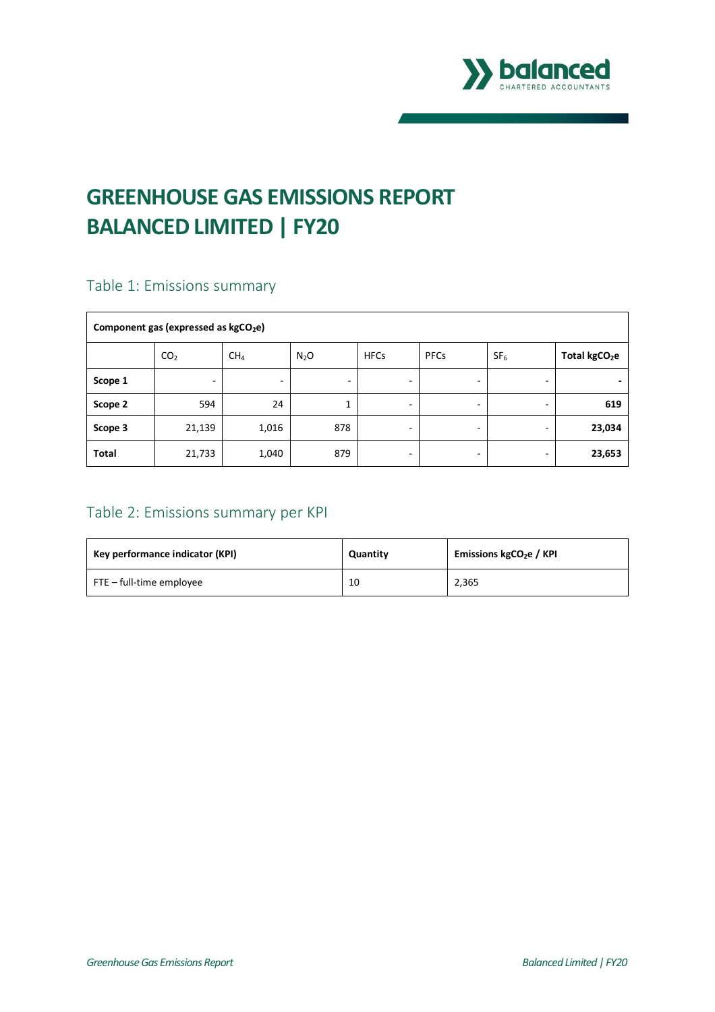

# **GREENHOUSE GAS EMISSIONS REPORT BALANCED LIMITED | FY20**

# Table 1: Emissions summary

| Component gas (expressed as kgCO <sub>2</sub> e) |                 |                 |                  |             |             |                 |                           |
|--------------------------------------------------|-----------------|-----------------|------------------|-------------|-------------|-----------------|---------------------------|
|                                                  | CO <sub>2</sub> | CH <sub>4</sub> | N <sub>2</sub> O | <b>HFCs</b> | <b>PFCs</b> | SF <sub>6</sub> | Total kgCO <sub>2</sub> e |
| Scope 1                                          | -               | -               |                  | -           |             |                 |                           |
| Scope 2                                          | 594             | 24              | 1<br>T.          |             | -           |                 | 619                       |
| Scope 3                                          | 21,139          | 1,016           | 878              | -           |             |                 | 23,034                    |
| <b>Total</b>                                     | 21,733          | 1,040           | 879              |             | -           |                 | 23,653                    |

# Table 2: Emissions summary per KPI

| Key performance indicator (KPI) | Quantity | Emissions $kgCO2e / KPI$ |
|---------------------------------|----------|--------------------------|
| FTE – full-time employee        | 10       | 2,365                    |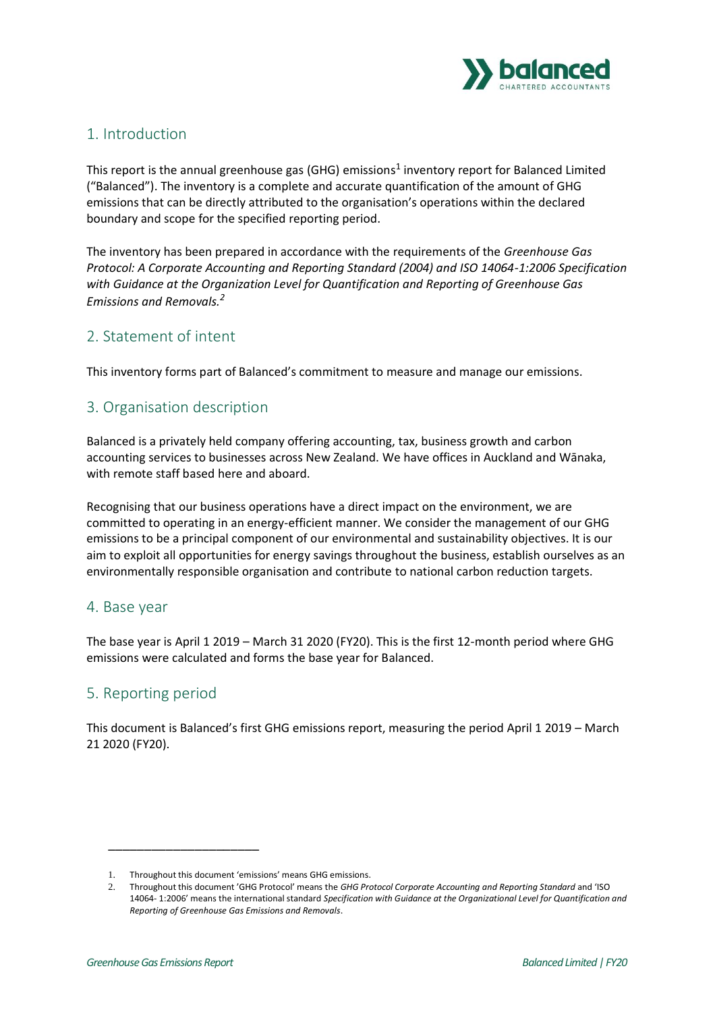

## 1. Introduction

This report is the annual greenhouse gas (GHG) emissions<sup>1</sup> inventory report for Balanced Limited ("Balanced"). The inventory is a complete and accurate quantification of the amount of GHG emissions that can be directly attributed to the organisation's operations within the declared boundary and scope for the specified reporting period.

The inventory has been prepared in accordance with the requirements of the *Greenhouse Gas Protocol: A Corporate Accounting and Reporting Standard (2004) and ISO 14064-1:2006 Specification with Guidance at the Organization Level for Quantification and Reporting of Greenhouse Gas Emissions and Removals.<sup>2</sup>*

## 2. Statement of intent

This inventory forms part of Balanced's commitment to measure and manage our emissions.

## 3. Organisation description

Balanced is a privately held company offering accounting, tax, business growth and carbon accounting services to businesses across New Zealand. We have offices in Auckland and Wānaka, with remote staff based here and aboard.

Recognising that our business operations have a direct impact on the environment, we are committed to operating in an energy-efficient manner. We consider the management of our GHG emissions to be a principal component of our environmental and sustainability objectives. It is our aim to exploit all opportunities for energy savings throughout the business, establish ourselves as an environmentally responsible organisation and contribute to national carbon reduction targets.

#### 4. Base year

The base year is April 1 2019 – March 31 2020 (FY20). This is the first 12-month period where GHG emissions were calculated and forms the base year for Balanced.

#### 5. Reporting period

This document is Balanced's first GHG emissions report, measuring the period April 1 2019 – March 21 2020 (FY20).

\_\_\_\_\_\_\_\_\_\_\_\_\_\_\_\_\_\_\_\_\_

<sup>1.</sup> Throughout this document 'emissions' means GHG emissions.

<sup>2.</sup> Throughout this document 'GHG Protocol' means the *GHG Protocol Corporate Accounting and Reporting Standard* and 'ISO 14064- 1:2006' means the international standard *Specification with Guidance at the Organizational Level for Quantification and Reporting of Greenhouse Gas Emissions and Removals*.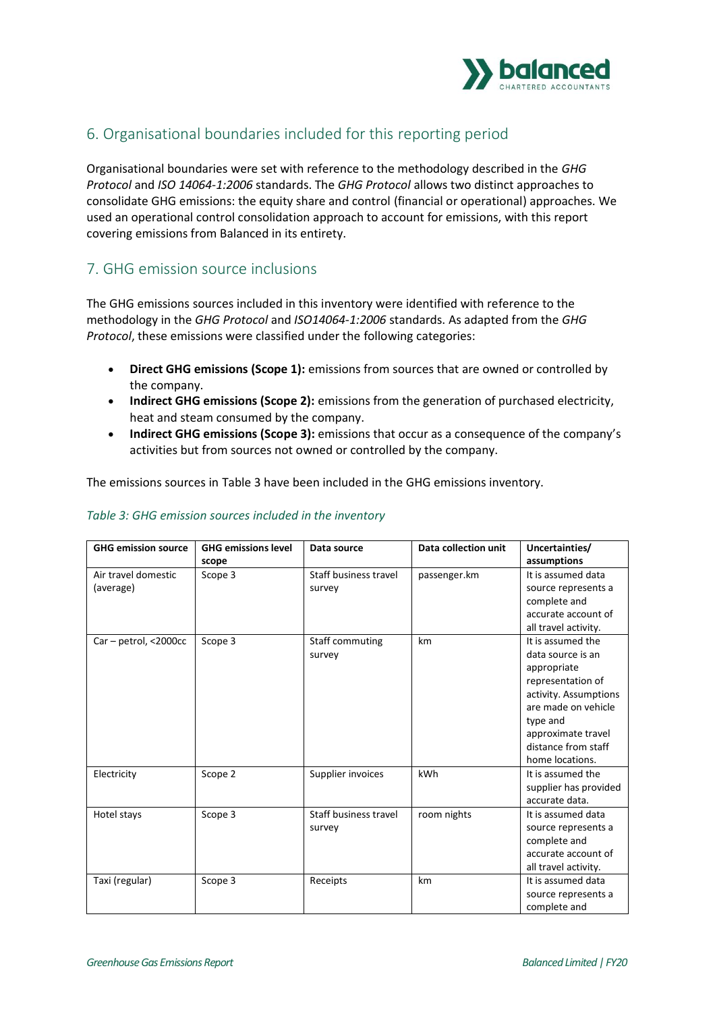

## 6. Organisational boundaries included for this reporting period

Organisational boundaries were set with reference to the methodology described in the *GHG Protocol* and *ISO 14064-1:2006* standards. The *GHG Protocol* allows two distinct approaches to consolidate GHG emissions: the equity share and control (financial or operational) approaches. We used an operational control consolidation approach to account for emissions, with this report covering emissions from Balanced in its entirety.

#### 7. GHG emission source inclusions

The GHG emissions sources included in this inventory were identified with reference to the methodology in the *GHG Protocol* and *ISO14064-1:2006* standards. As adapted from the *GHG Protocol*, these emissions were classified under the following categories:

- **Direct GHG emissions (Scope 1):** emissions from sources that are owned or controlled by the company.
- **Indirect GHG emissions (Scope 2):** emissions from the generation of purchased electricity, heat and steam consumed by the company.
- **Indirect GHG emissions (Scope 3):** emissions that occur as a consequence of the company's activities but from sources not owned or controlled by the company.

The emissions sources in Table 3 have been included in the GHG emissions inventory.

| <b>GHG emission source</b> | <b>GHG emissions level</b> | Data source           | Data collection unit | Uncertainties/        |
|----------------------------|----------------------------|-----------------------|----------------------|-----------------------|
|                            | scope                      |                       |                      | assumptions           |
| Air travel domestic        | Scope 3                    | Staff business travel | passenger.km         | It is assumed data    |
| (average)                  |                            | survey                |                      | source represents a   |
|                            |                            |                       |                      | complete and          |
|                            |                            |                       |                      | accurate account of   |
|                            |                            |                       |                      | all travel activity.  |
| Car - petrol, <2000cc      | Scope 3                    | Staff commuting       | km                   | It is assumed the     |
|                            |                            | survey                |                      | data source is an     |
|                            |                            |                       |                      | appropriate           |
|                            |                            |                       |                      | representation of     |
|                            |                            |                       |                      | activity. Assumptions |
|                            |                            |                       |                      | are made on vehicle   |
|                            |                            |                       |                      | type and              |
|                            |                            |                       |                      | approximate travel    |
|                            |                            |                       |                      | distance from staff   |
|                            |                            |                       |                      | home locations.       |
| Electricity                | Scope 2                    | Supplier invoices     | kWh                  | It is assumed the     |
|                            |                            |                       |                      | supplier has provided |
|                            |                            |                       |                      | accurate data.        |
| Hotel stays                | Scope 3                    | Staff business travel | room nights          | It is assumed data    |
|                            |                            | survey                |                      | source represents a   |
|                            |                            |                       |                      | complete and          |
|                            |                            |                       |                      | accurate account of   |
|                            |                            |                       |                      | all travel activity.  |
| Taxi (regular)             | Scope 3                    | Receipts              | km                   | It is assumed data    |
|                            |                            |                       |                      | source represents a   |
|                            |                            |                       |                      | complete and          |

#### *Table 3: GHG emission sources included in the inventory*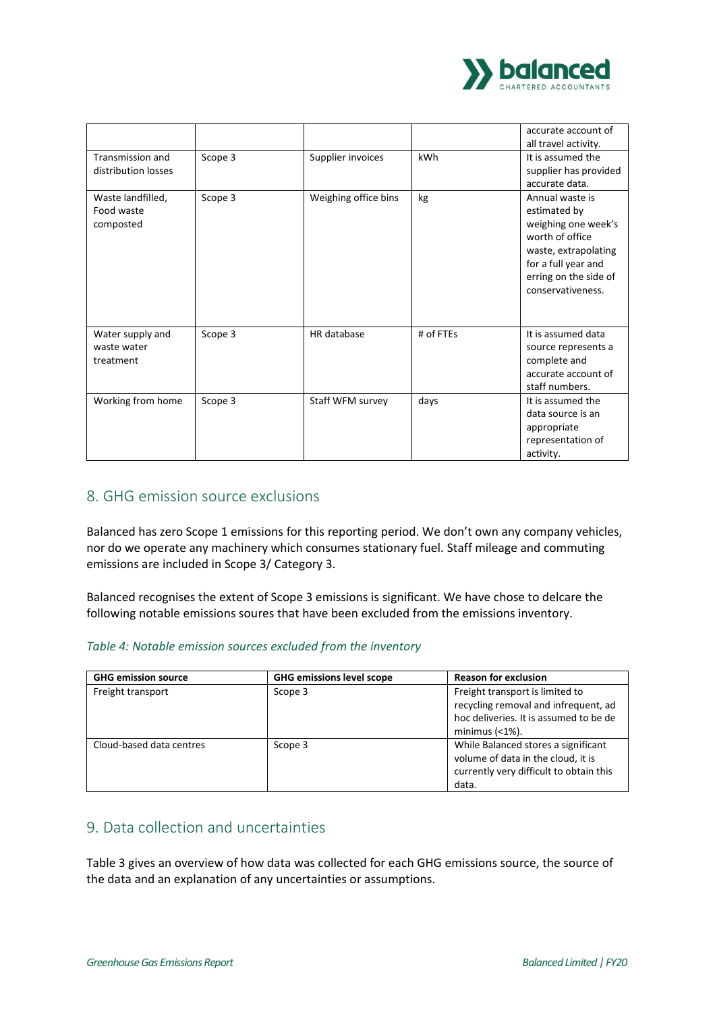

|                                              |         |                      |           | accurate account of<br>all travel activity.                                                                                                                            |
|----------------------------------------------|---------|----------------------|-----------|------------------------------------------------------------------------------------------------------------------------------------------------------------------------|
| Transmission and<br>distribution losses      | Scope 3 | Supplier invoices    | kWh       | It is assumed the<br>supplier has provided<br>accurate data.                                                                                                           |
| Waste landfilled,<br>Food waste<br>composted | Scope 3 | Weighing office bins | kg        | Annual waste is<br>estimated by<br>weighing one week's<br>worth of office<br>waste, extrapolating<br>for a full year and<br>erring on the side of<br>conservativeness. |
| Water supply and<br>waste water<br>treatment | Scope 3 | HR database          | # of FTEs | It is assumed data<br>source represents a<br>complete and<br>accurate account of<br>staff numbers.                                                                     |
| Working from home                            | Scope 3 | Staff WFM survey     | days      | It is assumed the<br>data source is an<br>appropriate<br>representation of<br>activity.                                                                                |

#### 8. GHG emission source exclusions

Balanced has zero Scope 1 emissions for this reporting period. We don't own any company vehicles, nor do we operate any machinery which consumes stationary fuel. Staff mileage and commuting emissions are included in Scope 3/ Category 3.

Balanced recognises the extent of Scope 3 emissions is significant. We have chose to delcare the following notable emissions soures that have been excluded from the emissions inventory.

#### *Table 4: Notable emission sources excluded from the inventory*

| <b>GHG emission source</b> | <b>GHG emissions level scope</b> | <b>Reason for exclusion</b>                                                                                                           |
|----------------------------|----------------------------------|---------------------------------------------------------------------------------------------------------------------------------------|
| Freight transport          | Scope 3                          | Freight transport is limited to<br>recycling removal and infrequent, ad<br>hoc deliveries. It is assumed to be de<br>minimus $(1\%).$ |
| Cloud-based data centres   | Scope 3                          | While Balanced stores a significant<br>volume of data in the cloud, it is<br>currently very difficult to obtain this<br>data.         |

#### 9. Data collection and uncertainties

Table 3 gives an overview of how data was collected for each GHG emissions source, the source of the data and an explanation of any uncertainties or assumptions.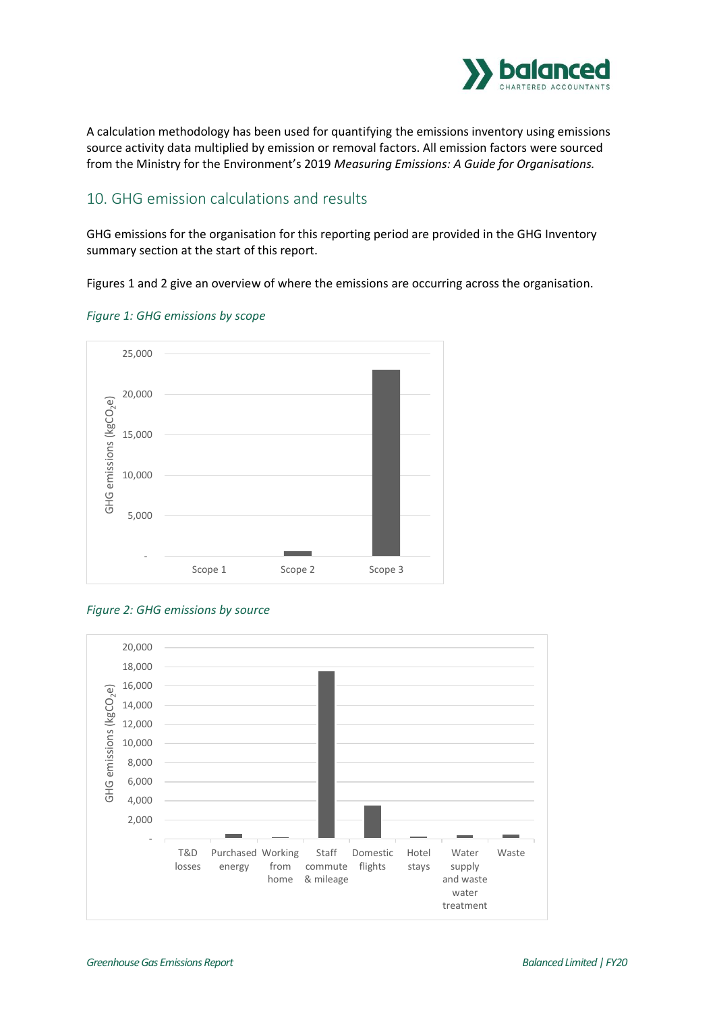

A calculation methodology has been used for quantifying the emissions inventory using emissions source activity data multiplied by emission or removal factors. All emission factors were sourced from the Ministry for the Environment's 2019 *Measuring Emissions: A Guide for Organisations.* 

#### 10. GHG emission calculations and results

GHG emissions for the organisation for this reporting period are provided in the GHG Inventory summary section at the start of this report.

Figures 1 and 2 give an overview of where the emissions are occurring across the organisation.



#### *Figure 1: GHG emissions by scope*

#### *Figure 2: GHG emissions by source*